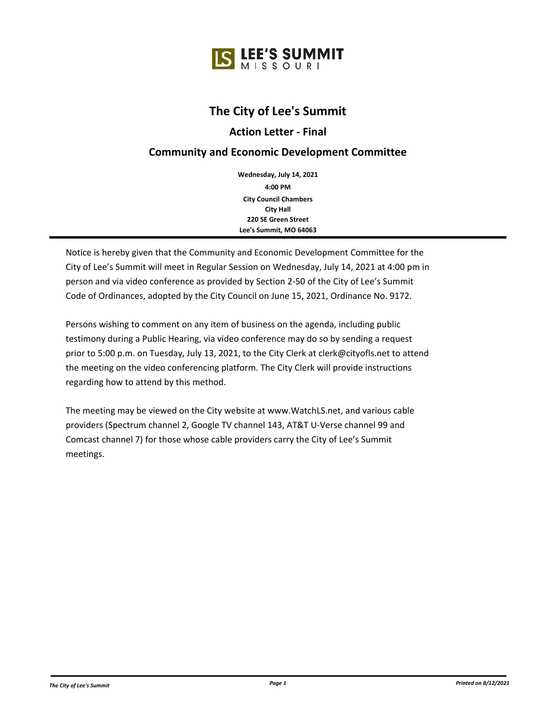

# **The City of Lee's Summit**

## **Action Letter - Final**

## **Community and Economic Development Committee**

**4:00 PM Wednesday, July 14, 2021 City Council Chambers City Hall 220 SE Green Street Lee's Summit, MO 64063**

Notice is hereby given that the Community and Economic Development Committee for the City of Lee's Summit will meet in Regular Session on Wednesday, July 14, 2021 at 4:00 pm in person and via video conference as provided by Section 2-50 of the City of Lee's Summit Code of Ordinances, adopted by the City Council on June 15, 2021, Ordinance No. 9172.

Persons wishing to comment on any item of business on the agenda, including public testimony during a Public Hearing, via video conference may do so by sending a request prior to 5:00 p.m. on Tuesday, July 13, 2021, to the City Clerk at clerk@cityofls.net to attend the meeting on the video conferencing platform. The City Clerk will provide instructions regarding how to attend by this method.

The meeting may be viewed on the City website at www.WatchLS.net, and various cable providers (Spectrum channel 2, Google TV channel 143, AT&T U-Verse channel 99 and Comcast channel 7) for those whose cable providers carry the City of Lee's Summit meetings.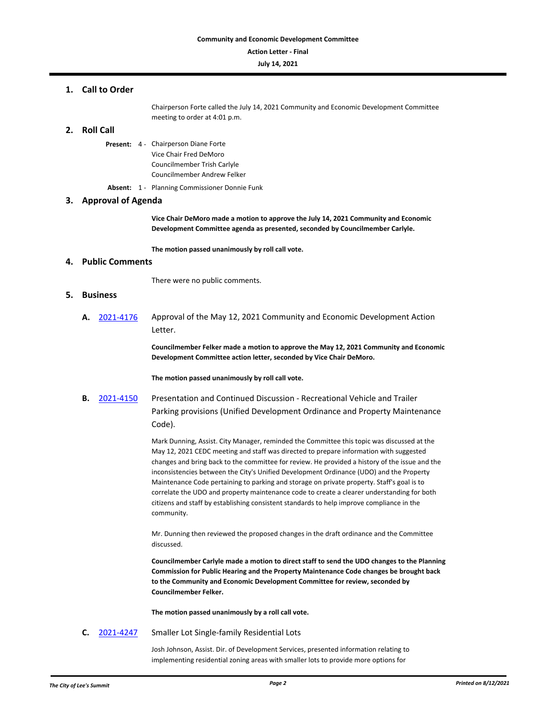#### **Action Letter - Final**

#### **July 14, 2021**

### **1. Call to Order**

Chairperson Forte called the July 14, 2021 Community and Economic Development Committee meeting to order at 4:01 p.m.

## **2. Roll Call**

Present: 4 - Chairperson Diane Forte Vice Chair Fred DeMoro Councilmember Trish Carlyle Councilmember Andrew Felker

**Absent:** 1 - Planning Commissioner Donnie Funk

## **3. Approval of Agenda**

**Vice Chair DeMoro made a motion to approve the July 14, 2021 Community and Economic Development Committee agenda as presented, seconded by Councilmember Carlyle.**

**The motion passed unanimously by roll call vote.**

### **4. Public Comments**

There were no public comments.

#### **5. Business**

**A.** [2021-4176](http://lsmo.legistar.com/gateway.aspx?m=l&id=/matter.aspx?key=6755) Approval of the May 12, 2021 Community and Economic Development Action Letter.

> **Councilmember Felker made a motion to approve the May 12, 2021 Community and Economic Development Committee action letter, seconded by Vice Chair DeMoro.**

**The motion passed unanimously by roll call vote.**

**B.** [2021-4150](http://lsmo.legistar.com/gateway.aspx?m=l&id=/matter.aspx?key=6723) Presentation and Continued Discussion - Recreational Vehicle and Trailer Parking provisions (Unified Development Ordinance and Property Maintenance Code).

> Mark Dunning, Assist. City Manager, reminded the Committee this topic was discussed at the May 12, 2021 CEDC meeting and staff was directed to prepare information with suggested changes and bring back to the committee for review. He provided a history of the issue and the inconsistencies between the City's Unified Development Ordinance (UDO) and the Property Maintenance Code pertaining to parking and storage on private property. Staff's goal is to correlate the UDO and property maintenance code to create a clearer understanding for both citizens and staff by establishing consistent standards to help improve compliance in the community.

Mr. Dunning then reviewed the proposed changes in the draft ordinance and the Committee discussed.

**Councilmember Carlyle made a motion to direct staff to send the UDO changes to the Planning Commission for Public Hearing and the Property Maintenance Code changes be brought back to the Community and Economic Development Committee for review, seconded by Councilmember Felker.**

**The motion passed unanimously by a roll call vote.**

**C.** [2021-4247](http://lsmo.legistar.com/gateway.aspx?m=l&id=/matter.aspx?key=6833) Smaller Lot Single-family Residential Lots

Josh Johnson, Assist. Dir. of Development Services, presented information relating to implementing residential zoning areas with smaller lots to provide more options for